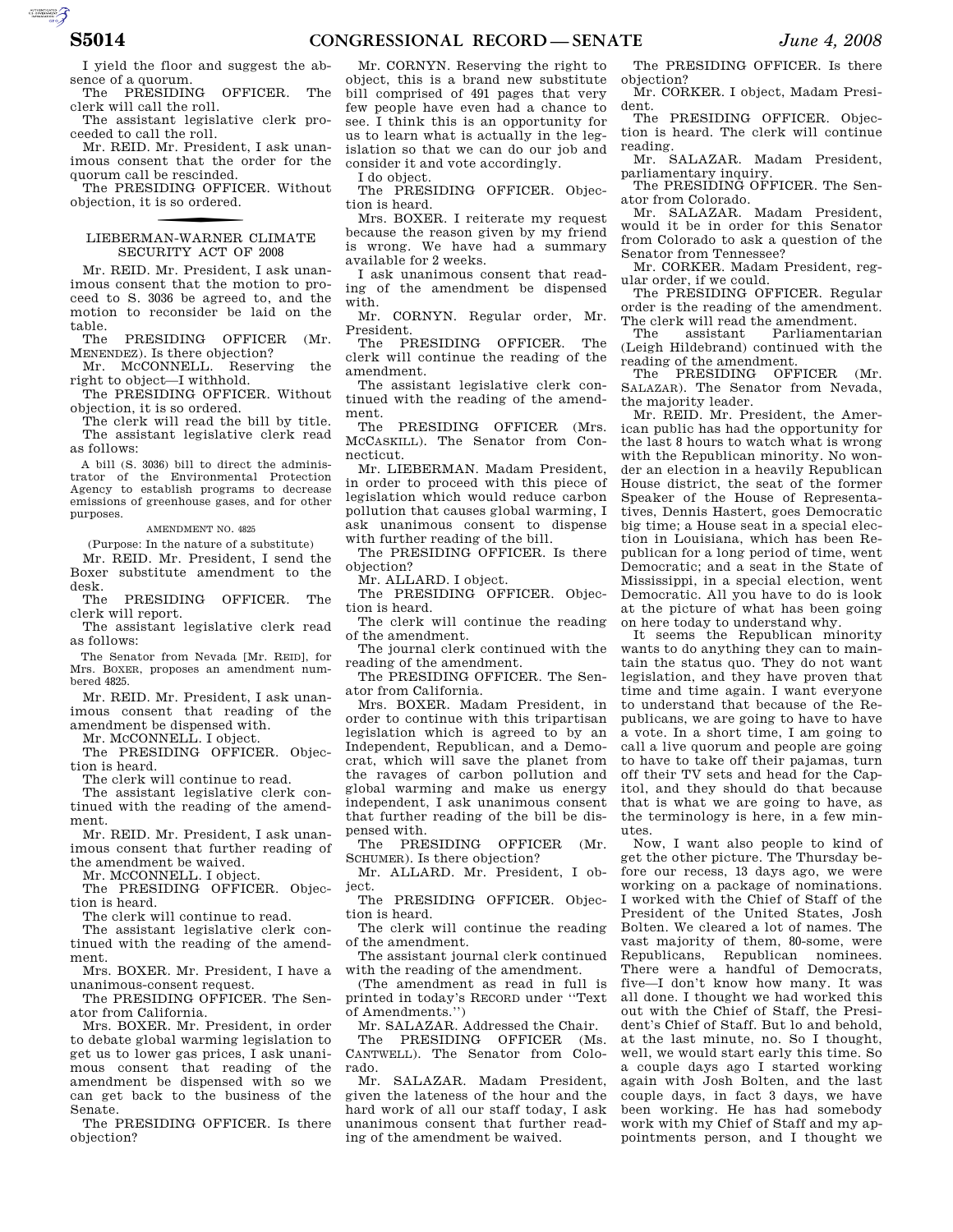I yield the floor and suggest the absence of a quorum.

The PRESIDING OFFICER. The clerk will call the roll.

The assistant legislative clerk proceeded to call the roll.

Mr. REID. Mr. President, I ask unanimous consent that the order for the quorum call be rescinded.

The PRESIDING OFFICER. Without objection, it is so ordered.

# f LIEBERMAN-WARNER CLIMATE SECURITY ACT OF 2008

Mr. REID. Mr. President, I ask unanimous consent that the motion to proceed to S. 3036 be agreed to, and the motion to reconsider be laid on the

table.<br>The PRESIDING OFFICER (Mr. MENENDEZ). Is there objection?

Mr. MCCONNELL. Reserving the right to object—I withhold.

The PRESIDING OFFICER. Without objection, it is so ordered.

The clerk will read the bill by title. The assistant legislative clerk read as follows:

A bill (S. 3036) bill to direct the administrator of the Environmental Protection Agency to establish programs to decrease emissions of greenhouse gases, and for other purposes.

AMENDMENT NO. 4825

(Purpose: In the nature of a substitute)

Mr. REID. Mr. President, I send the Boxer substitute amendment to the

desk. PRESIDING OFFICER. The clerk will report.

The assistant legislative clerk read as follows:

The Senator from Nevada [Mr. REID], for Mrs. BOXER, proposes an amendment numbered 4825.

Mr. REID. Mr. President, I ask unanimous consent that reading of the amendment be dispensed with.

Mr. MCCONNELL. I object.

The PRESIDING OFFICER. Objection is heard.

The clerk will continue to read.

The assistant legislative clerk continued with the reading of the amendment.

Mr. REID. Mr. President, I ask unanimous consent that further reading of the amendment be waived.

Mr. MCCONNELL. I object.

The PRESIDING OFFICER. Objection is heard.

The clerk will continue to read.

The assistant legislative clerk continued with the reading of the amendment.

Mrs. BOXER. Mr. President, I have a unanimous-consent request.

The PRESIDING OFFICER. The Senator from California.

Mrs. BOXER. Mr. President, in order to debate global warming legislation to get us to lower gas prices, I ask unanimous consent that reading of the amendment be dispensed with so we can get back to the business of the Senate.

The PRESIDING OFFICER. Is there objection?

Mr. CORNYN. Reserving the right to object, this is a brand new substitute bill comprised of 491 pages that very few people have even had a chance to see. I think this is an opportunity for us to learn what is actually in the legislation so that we can do our job and consider it and vote accordingly. I do object.

The PRESIDING OFFICER. Objection is heard.

Mrs. BOXER. I reiterate my request because the reason given by my friend is wrong. We have had a summary available for 2 weeks.

I ask unanimous consent that reading of the amendment be dispensed with.

Mr. CORNYN. Regular order, Mr. President.

The PRESIDING OFFICER. The clerk will continue the reading of the amendment.

The assistant legislative clerk continued with the reading of the amendment.

The PRESIDING OFFICER (Mrs. MCCASKILL). The Senator from Connecticut.

Mr. LIEBERMAN. Madam President, in order to proceed with this piece of legislation which would reduce carbon pollution that causes global warming, I ask unanimous consent to dispense with further reading of the bill.

The PRESIDING OFFICER. Is there objection?

Mr. ALLARD. I object.

The PRESIDING OFFICER. Objection is heard.

The clerk will continue the reading of the amendment.

The journal clerk continued with the reading of the amendment.

The PRESIDING OFFICER. The Senator from California.

Mrs. BOXER. Madam President, in order to continue with this tripartisan legislation which is agreed to by an Independent, Republican, and a Democrat, which will save the planet from the ravages of carbon pollution and global warming and make us energy independent, I ask unanimous consent that further reading of the bill be dispensed with.

The PRESIDING OFFICER (Mr. SCHUMER). Is there objection?

Mr. ALLARD. Mr. President, I object.

The PRESIDING OFFICER. Objection is heard.

The clerk will continue the reading of the amendment.

The assistant journal clerk continued with the reading of the amendment.

(The amendment as read in full is printed in today's RECORD under ''Text of Amendments.'')

Mr. SALAZAR. Addressed the Chair.

The PRESIDING OFFICER (Ms. CANTWELL). The Senator from Colorado.

Mr. SALAZAR. Madam President, given the lateness of the hour and the hard work of all our staff today, I ask unanimous consent that further reading of the amendment be waived.

The PRESIDING OFFICER. Is there objection?

Mr. CORKER. I object, Madam President.

The PRESIDING OFFICER. Objection is heard. The clerk will continue reading.

Mr. SALAZAR. Madam President, parliamentary inquiry.

The PRESIDING OFFICER. The Senator from Colorado.

Mr. SALAZAR. Madam President, would it be in order for this Senator from Colorado to ask a question of the Senator from Tennessee?

Mr. CORKER. Madam President, regular order, if we could.

The PRESIDING OFFICER. Regular order is the reading of the amendment. The clerk will read the amendment.

The assistant Parliamentarian (Leigh Hildebrand) continued with the reading of the amendment.

The PRESIDING OFFICER (Mr. SALAZAR). The Senator from Nevada, the majority leader.

Mr. REID. Mr. President, the American public has had the opportunity for the last 8 hours to watch what is wrong with the Republican minority. No wonder an election in a heavily Republican House district, the seat of the former Speaker of the House of Representatives, Dennis Hastert, goes Democratic big time; a House seat in a special election in Louisiana, which has been Republican for a long period of time, went Democratic; and a seat in the State of Mississippi, in a special election, went Democratic. All you have to do is look at the picture of what has been going on here today to understand why.

It seems the Republican minority wants to do anything they can to maintain the status quo. They do not want legislation, and they have proven that time and time again. I want everyone to understand that because of the Republicans, we are going to have to have a vote. In a short time, I am going to call a live quorum and people are going to have to take off their pajamas, turn off their TV sets and head for the Capitol, and they should do that because that is what we are going to have, as the terminology is here, in a few minutes.

Now, I want also people to kind of get the other picture. The Thursday before our recess, 13 days ago, we were working on a package of nominations. I worked with the Chief of Staff of the President of the United States, Josh Bolten. We cleared a lot of names. The vast majority of them, 80-some, were Republicans, Republican nominees. There were a handful of Democrats, five—I don't know how many. It was all done. I thought we had worked this out with the Chief of Staff, the President's Chief of Staff. But lo and behold, at the last minute, no. So I thought, well, we would start early this time. So a couple days ago I started working again with Josh Bolten, and the last couple days, in fact 3 days, we have been working. He has had somebody work with my Chief of Staff and my appointments person, and I thought we

AUTOROTOMICALE CONTINUES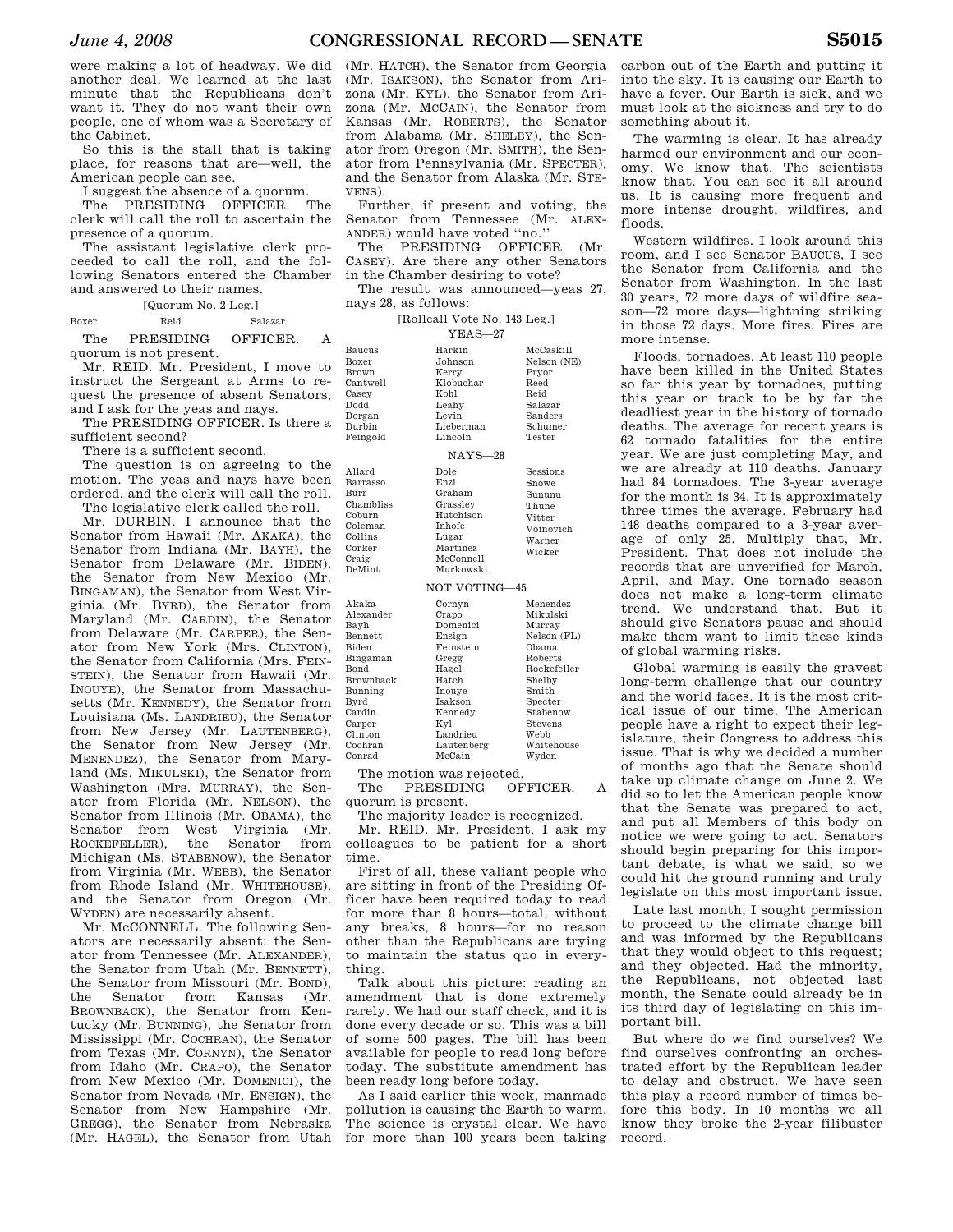were making a lot of headway. We did another deal. We learned at the last minute that the Republicans don't want it. They do not want their own people, one of whom was a Secretary of the Cabinet.

So this is the stall that is taking place, for reasons that are—well, the American people can see.

I suggest the absence of a quorum.

The PRESIDING OFFICER. The clerk will call the roll to ascertain the presence of a quorum.

The assistant legislative clerk proceeded to call the roll, and the following Senators entered the Chamber and answered to their names.

[Quorum No. 2 Leg.]

### Boxer Reid Salazar

The PRESIDING OFFICER. A quorum is not present.

Mr. REID. Mr. President, I move to instruct the Sergeant at Arms to request the presence of absent Senators, and I ask for the yeas and nays. Box **Bro** Can Cas Dod Dor

The PRESIDING OFFICER. Is there a sufficient second?

There is a sufficient second.

The question is on agreeing to the motion. The yeas and nays have been ordered, and the clerk will call the roll. A<sub>11s</sub> **Bar** Burr  $C<sub>h</sub>$ 

The legislative clerk called the roll. Mr. DURBIN. I announce that the Senator from Hawaii (Mr. AKAKA), the Senator from Indiana (Mr. BAYH), the Senator from Delaware (Mr. BIDEN), the Senator from New Mexico (Mr. BINGAMAN), the Senator from West Virginia (Mr. BYRD), the Senator from Maryland (Mr. CARDIN), the Senator from Delaware (Mr. CARPER), the Senator from New York (Mrs. CLINTON), the Senator from California (Mrs. FEIN-STEIN), the Senator from Hawaii (Mr. INOUYE), the Senator from Massachusetts (Mr. KENNEDY), the Senator from Louisiana (Ms. LANDRIEU), the Senator from New Jersey (Mr. LAUTENBERG), the Senator from New Jersey (Mr. MENENDEZ), the Senator from Maryland (Ms. MIKULSKI), the Senator from Washington (Mrs. MURRAY), the Senator from Florida (Mr. NELSON), the Senator from Illinois (Mr. OBAMA), the Senator from West Virginia (Mr. ROCKEFELLER), the Senator from Michigan (Ms. STABENOW), the Senator from Virginia (Mr. WEBB), the Senator from Rhode Island (Mr. WHITEHOUSE), and the Senator from Oregon (Mr. WYDEN) are necessarily absent. DeM **Bid** Bro

Mr. McCONNELL. The following Senators are necessarily absent: the Senator from Tennessee (Mr. ALEXANDER), the Senator from Utah (Mr. BENNETT), the Senator from Missouri (Mr. BOND), the Senator from Kansas (Mr. BROWNBACK), the Senator from Kentucky (Mr. BUNNING), the Senator from Mississippi (Mr. COCHRAN), the Senator from Texas (Mr. CORNYN), the Senator from Idaho (Mr. CRAPO), the Senator from New Mexico (Mr. DOMENICI), the Senator from Nevada (Mr. ENSIGN), the Senator from New Hampshire (Mr. GREGG), the Senator from Nebraska

(Mr. HATCH), the Senator from Georgia (Mr. ISAKSON), the Senator from Arizona (Mr. KYL), the Senator from Arizona (Mr. MCCAIN), the Senator from Kansas (Mr. ROBERTS), the Senator from Alabama (Mr. SHELBY), the Senator from Oregon (Mr. SMITH), the Senator from Pennsylvania (Mr. SPECTER), and the Senator from Alaska (Mr. STE-VENS).

Further, if present and voting, the Senator from Tennessee (Mr. ALEX-ANDER) would have voted ''no.''

The PRESIDING OFFICER (Mr. CASEY). Are there any other Senators in the Chamber desiring to vote?

The result was announced—yeas 27, nays 28, as follows:

|             | [Rollcall Vote No. 143 Leg.] |
|-------------|------------------------------|
| $YEAS - 27$ |                              |

|                                                                                                            | + 13110                                                                                                  |                                                                                              |  |
|------------------------------------------------------------------------------------------------------------|----------------------------------------------------------------------------------------------------------|----------------------------------------------------------------------------------------------|--|
| <b>Baucus</b><br>Boxer<br><b>Brown</b><br>Cantwell<br>Casey<br><b>Dodd</b><br>Dorgan<br>Durbin<br>Feingold | Harkin<br>Johnson<br>Kerry<br>Klobuchar<br>Kohl<br>Leahy<br>Levin<br>Lieberman<br>Lincoln                | McCaskill<br>Nelson (NE)<br>Pryor<br>Reed<br>Reid<br>Salazar<br>Sanders<br>Schumer<br>Tester |  |
| $NAYS-28$                                                                                                  |                                                                                                          |                                                                                              |  |
| Allard<br>Barrasso<br>Burr<br>Chambliss<br>Coburn<br>Coleman<br>Collins<br>Corker<br>Craig<br>DeMint       | Dole<br>Enzi<br>Graham<br>Grassley<br>Hutchison<br>Inhofe<br>Lugar<br>Martinez<br>McConnell<br>Murkowski | Sessions<br>Snowe<br>Sununu<br>Thune<br>Vitter<br>Voinovich<br>Warner<br>Wicker              |  |
|                                                                                                            | NOT VOTING-45                                                                                            |                                                                                              |  |
| Akaka<br>Alexander<br>Bavh<br><b>Bennett</b><br>Biden<br>Bingaman<br>Bond<br><b>Brownback</b>              | Cornyn<br>Crapo<br>Domenici<br>Ensign<br>Feinstein<br>Gregg<br>Hagel<br>Hatch                            | Menendez<br>Mikulski<br>Murray<br>Nelson (FL)<br>Obama<br>Roberts<br>Rockefeller<br>Shelby   |  |
| Bunning                                                                                                    | Inouve                                                                                                   | Smith                                                                                        |  |

Conrad Lautenberg McCain Wyden The motion was rejected.

Inouye Isakson Kennedy Kyl Landrieu

Bunning Byrd Cardin Carper Clinton Cochran

The PRESIDING OFFICER. A quorum is present.

Specter Stabenow Stevens Webb Whitehouse

The majority leader is recognized.

Mr. REID. Mr. President, I ask my colleagues to be patient for a short time.

First of all, these valiant people who are sitting in front of the Presiding Officer have been required today to read for more than 8 hours—total, without any breaks, 8 hours—for no reason other than the Republicans are trying to maintain the status quo in everything.

Talk about this picture: reading an amendment that is done extremely rarely. We had our staff check, and it is done every decade or so. This was a bill of some 500 pages. The bill has been available for people to read long before today. The substitute amendment has been ready long before today.

(Mr. HAGEL), the Senator from Utah for more than 100 years been taking As I said earlier this week, manmade pollution is causing the Earth to warm. The science is crystal clear. We have

carbon out of the Earth and putting it into the sky. It is causing our Earth to have a fever. Our Earth is sick, and we must look at the sickness and try to do something about it.

The warming is clear. It has already harmed our environment and our economy. We know that. The scientists know that. You can see it all around us. It is causing more frequent and more intense drought, wildfires, and floods.

Western wildfires. I look around this room, and I see Senator BAUCUS, I see the Senator from California and the Senator from Washington. In the last 30 years, 72 more days of wildfire season—72 more days—lightning striking in those 72 days. More fires. Fires are more intense.

Floods, tornadoes. At least 110 people have been killed in the United States so far this year by tornadoes, putting this year on track to be by far the deadliest year in the history of tornado deaths. The average for recent years is 62 tornado fatalities for the entire year. We are just completing May, and we are already at 110 deaths. January had 84 tornadoes. The 3-year average for the month is 34. It is approximately three times the average. February had 148 deaths compared to a 3-year average of only 25. Multiply that, Mr. President. That does not include the records that are unverified for March, April, and May. One tornado season does not make a long-term climate trend. We understand that. But it should give Senators pause and should make them want to limit these kinds of global warming risks.

Global warming is easily the gravest long-term challenge that our country and the world faces. It is the most critical issue of our time. The American people have a right to expect their legislature, their Congress to address this issue. That is why we decided a number of months ago that the Senate should take up climate change on June 2. We did so to let the American people know that the Senate was prepared to act, and put all Members of this body on notice we were going to act. Senators should begin preparing for this important debate, is what we said, so we could hit the ground running and truly legislate on this most important issue.

Late last month, I sought permission to proceed to the climate change bill and was informed by the Republicans that they would object to this request; and they objected. Had the minority, the Republicans, not objected last month, the Senate could already be in its third day of legislating on this important bill.

But where do we find ourselves? We find ourselves confronting an orchestrated effort by the Republican leader to delay and obstruct. We have seen this play a record number of times before this body. In 10 months we all know they broke the 2-year filibuster record.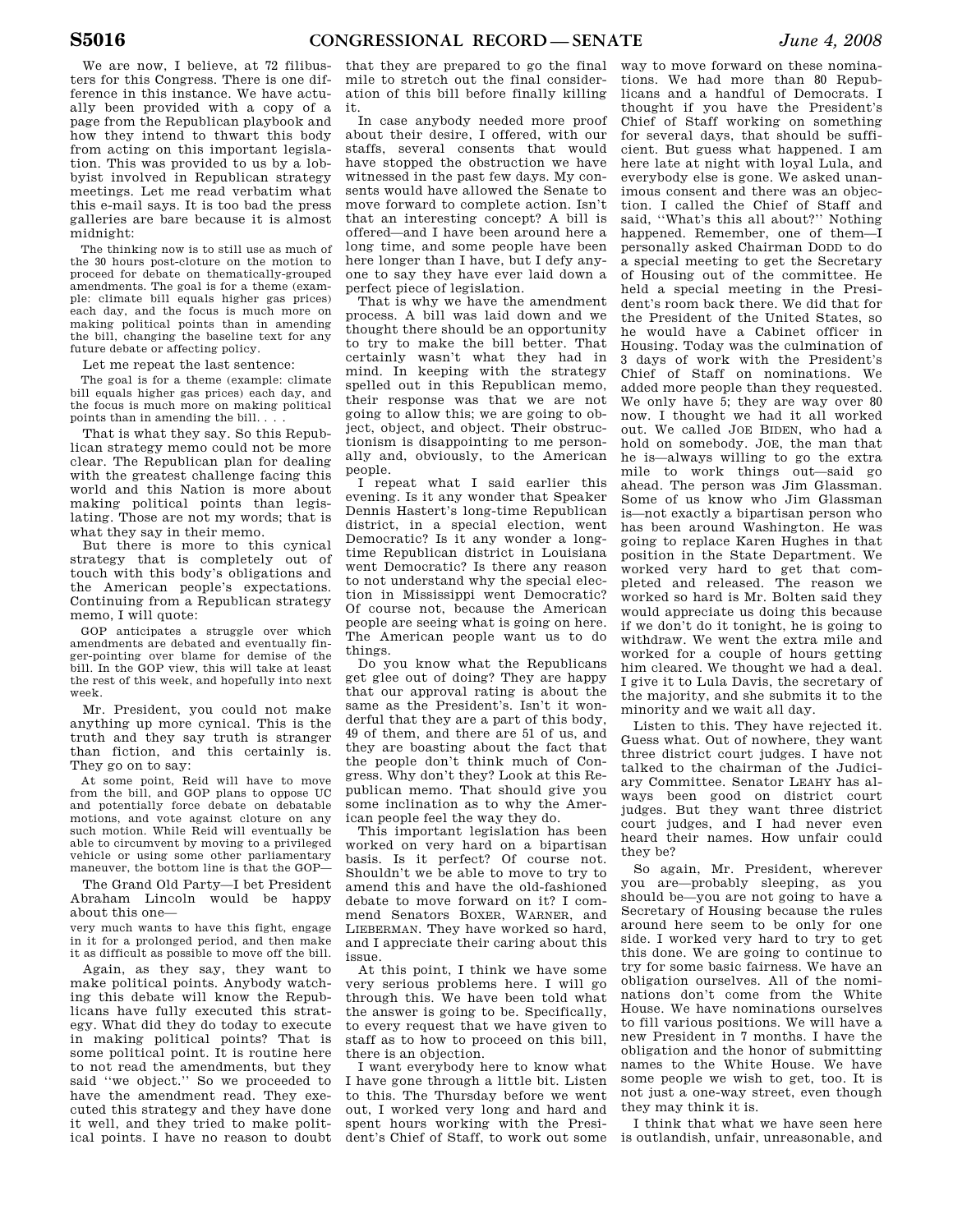We are now, I believe, at 72 filibusters for this Congress. There is one difference in this instance. We have actually been provided with a copy of a page from the Republican playbook and how they intend to thwart this body from acting on this important legislation. This was provided to us by a lobbyist involved in Republican strategy meetings. Let me read verbatim what this e-mail says. It is too bad the press galleries are bare because it is almost midnight:

The thinking now is to still use as much of the 30 hours post-cloture on the motion to proceed for debate on thematically-grouped amendments. The goal is for a theme (example: climate bill equals higher gas prices) each day, and the focus is much more on making political points than in amending the bill, changing the baseline text for any future debate or affecting policy.

Let me repeat the last sentence:

The goal is for a theme (example: climate bill equals higher gas prices) each day, and the focus is much more on making political points than in amending the bill. . . .

That is what they say. So this Republican strategy memo could not be more clear. The Republican plan for dealing with the greatest challenge facing this world and this Nation is more about making political points than legislating. Those are not my words; that is what they say in their memo.

But there is more to this cynical strategy that is completely out of touch with this body's obligations and the American people's expectations. Continuing from a Republican strategy memo. I will quote:

GOP anticipates a struggle over which amendments are debated and eventually finger-pointing over blame for demise of the bill. In the GOP view, this will take at least the rest of this week, and hopefully into next week.

Mr. President, you could not make anything up more cynical. This is the truth and they say truth is stranger than fiction, and this certainly is. They go on to say:

At some point, Reid will have to move from the bill, and GOP plans to oppose UC and potentially force debate on debatable motions, and vote against cloture on any such motion. While Reid will eventually be able to circumvent by moving to a privileged vehicle or using some other parliamentary maneuver, the bottom line is that the GOP—

The Grand Old Party—I bet President Abraham Lincoln would be happy about this one—

very much wants to have this fight, engage in it for a prolonged period, and then make it as difficult as possible to move off the bill.

Again, as they say, they want to make political points. Anybody watching this debate will know the Republicans have fully executed this strategy. What did they do today to execute in making political points? That is some political point. It is routine here to not read the amendments, but they said ''we object.'' So we proceeded to have the amendment read. They executed this strategy and they have done it well, and they tried to make political points. I have no reason to doubt

that they are prepared to go the final mile to stretch out the final consideration of this bill before finally killing it.

In case anybody needed more proof about their desire, I offered, with our staffs, several consents that would have stopped the obstruction we have witnessed in the past few days. My consents would have allowed the Senate to move forward to complete action. Isn't that an interesting concept? A bill is offered—and I have been around here a long time, and some people have been here longer than I have, but I defy anyone to say they have ever laid down a perfect piece of legislation.

That is why we have the amendment process. A bill was laid down and we thought there should be an opportunity to try to make the bill better. That certainly wasn't what they had in mind. In keeping with the strategy spelled out in this Republican memo, their response was that we are not going to allow this; we are going to object, object, and object. Their obstructionism is disappointing to me personally and, obviously, to the American people.

I repeat what I said earlier this evening. Is it any wonder that Speaker Dennis Hastert's long-time Republican district, in a special election, went Democratic? Is it any wonder a longtime Republican district in Louisiana went Democratic? Is there any reason to not understand why the special election in Mississippi went Democratic? Of course not, because the American people are seeing what is going on here. The American people want us to do things.

Do you know what the Republicans get glee out of doing? They are happy that our approval rating is about the same as the President's. Isn't it wonderful that they are a part of this body, 49 of them, and there are 51 of us, and they are boasting about the fact that the people don't think much of Congress. Why don't they? Look at this Republican memo. That should give you some inclination as to why the American people feel the way they do.

This important legislation has been worked on very hard on a bipartisan basis. Is it perfect? Of course not. Shouldn't we be able to move to try to amend this and have the old-fashioned debate to move forward on it? I commend Senators BOXER, WARNER, and LIEBERMAN. They have worked so hard, and I appreciate their caring about this issue.

At this point, I think we have some very serious problems here. I will go through this. We have been told what the answer is going to be. Specifically, to every request that we have given to staff as to how to proceed on this bill there is an objection.

I want everybody here to know what I have gone through a little bit. Listen to this. The Thursday before we went out, I worked very long and hard and spent hours working with the President's Chief of Staff, to work out some

way to move forward on these nominations. We had more than 80 Republicans and a handful of Democrats. I thought if you have the President's Chief of Staff working on something for several days, that should be sufficient. But guess what happened. I am here late at night with loyal Lula, and everybody else is gone. We asked unanimous consent and there was an objection. I called the Chief of Staff and said, ''What's this all about?'' Nothing happened. Remember, one of them—I personally asked Chairman DODD to do a special meeting to get the Secretary of Housing out of the committee. He held a special meeting in the President's room back there. We did that for the President of the United States, so he would have a Cabinet officer in Housing. Today was the culmination of 3 days of work with the President's Chief of Staff on nominations. We added more people than they requested. We only have 5; they are way over 80 now. I thought we had it all worked out. We called JOE BIDEN, who had a hold on somebody. JOE, the man that he is—always willing to go the extra mile to work things out—said go ahead. The person was Jim Glassman. Some of us know who Jim Glassman is—not exactly a bipartisan person who has been around Washington. He was going to replace Karen Hughes in that position in the State Department. We worked very hard to get that completed and released. The reason we worked so hard is Mr. Bolten said they would appreciate us doing this because if we don't do it tonight, he is going to withdraw. We went the extra mile and worked for a couple of hours getting him cleared. We thought we had a deal. I give it to Lula Davis, the secretary of the majority, and she submits it to the minority and we wait all day.

Listen to this. They have rejected it. Guess what. Out of nowhere, they want three district court judges. I have not talked to the chairman of the Judiciary Committee. Senator LEAHY has always been good on district court judges. But they want three district court judges, and I had never even heard their names. How unfair could they be?

So again, Mr. President, wherever you are—probably sleeping, as you should be—you are not going to have a Secretary of Housing because the rules around here seem to be only for one side. I worked very hard to try to get this done. We are going to continue to try for some basic fairness. We have an obligation ourselves. All of the nominations don't come from the White House. We have nominations ourselves to fill various positions. We will have a new President in 7 months. I have the obligation and the honor of submitting names to the White House. We have some people we wish to get, too. It is not just a one-way street, even though they may think it is.

I think that what we have seen here is outlandish, unfair, unreasonable, and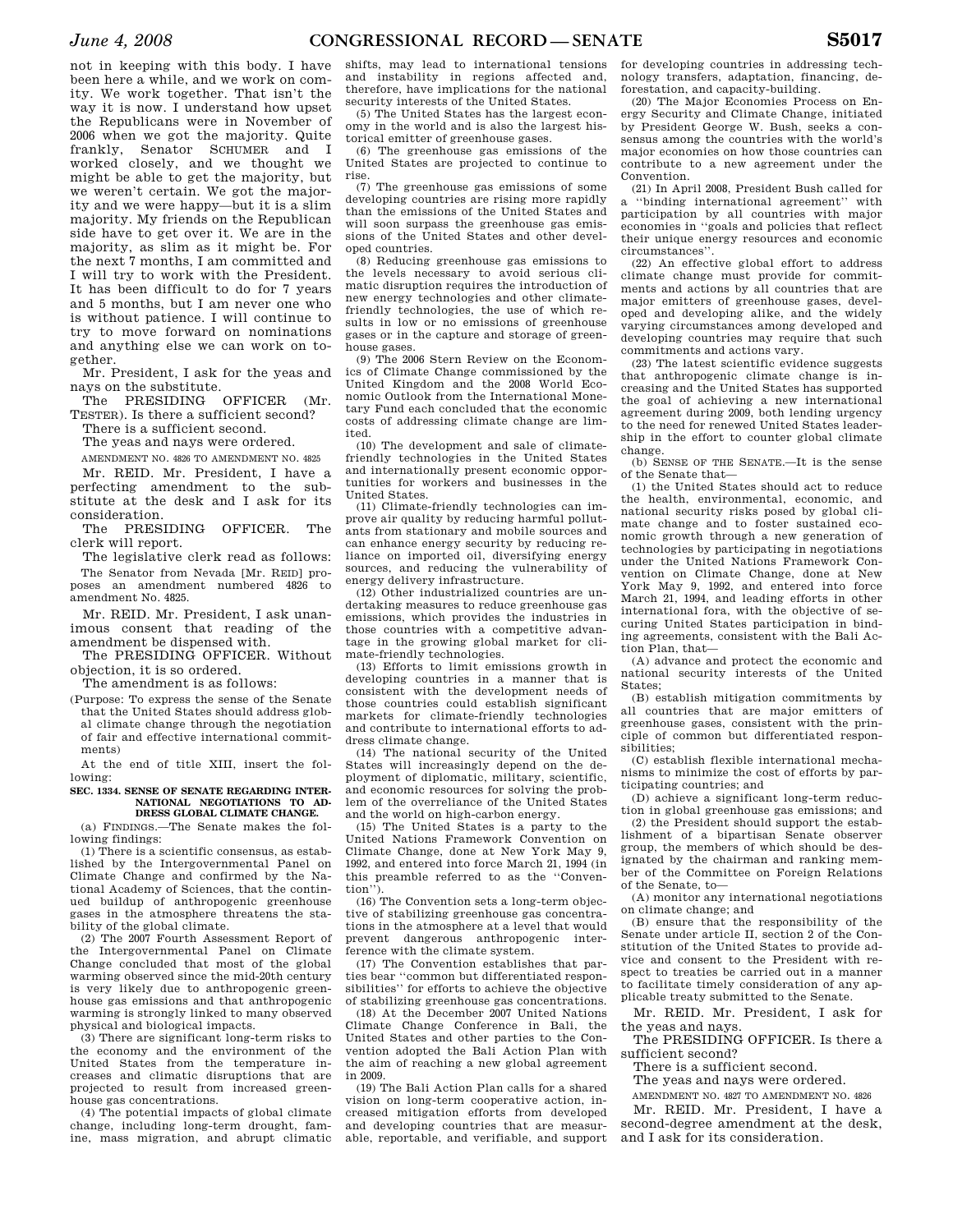not in keeping with this body. I have been here a while, and we work on comity. We work together. That isn't the way it is now. I understand how upset the Republicans were in November of 2006 when we got the majority. Quite frankly, Senator SCHUMER and I worked closely, and we thought we might be able to get the majority, but we weren't certain. We got the majority and we were happy—but it is a slim majority. My friends on the Republican side have to get over it. We are in the majority, as slim as it might be. For the next 7 months, I am committed and I will try to work with the President. It has been difficult to do for 7 years and 5 months, but I am never one who is without patience. I will continue to try to move forward on nominations and anything else we can work on together.

Mr. President, I ask for the yeas and nays on the substitute.

The PRESIDING OFFICER (Mr. TESTER). Is there a sufficient second?

There is a sufficient second.

The yeas and nays were ordered.

AMENDMENT NO. 4826 TO AMENDMENT NO. 4825 Mr. REID. Mr. President, I have a perfecting amendment to the substitute at the desk and I ask for its consideration.

The PRESIDING OFFICER. The clerk will report.

The legislative clerk read as follows: The Senator from Nevada [Mr. REID] proposes an amendment numbered 4826 to amendment No. 4825.

Mr. REID. Mr. President, I ask unanimous consent that reading of the amendment be dispensed with.

The PRESIDING OFFICER. Without objection, it is so ordered.

The amendment is as follows:

(Purpose: To express the sense of the Senate that the United States should address global climate change through the negotiation of fair and effective international commitments)

At the end of title XIII, insert the following:

#### **SEC. 1334. SENSE OF SENATE REGARDING INTER-NATIONAL NEGOTIATIONS TO AD-DRESS GLOBAL CLIMATE CHANGE.**

(a) FINDINGS.—The Senate makes the following findings:

(1) There is a scientific consensus, as established by the Intergovernmental Panel on Climate Change and confirmed by the National Academy of Sciences, that the continued buildup of anthropogenic greenhouse gases in the atmosphere threatens the stability of the global climate.

(2) The 2007 Fourth Assessment Report of the Intergovernmental Panel on Climate Change concluded that most of the global warming observed since the mid-20th century is very likely due to anthropogenic greenhouse gas emissions and that anthropogenic warming is strongly linked to many observed physical and biological impacts.

(3) There are significant long-term risks to the economy and the environment of the United States from the temperature increases and climatic disruptions that are projected to result from increased greenhouse gas concentrations.

(4) The potential impacts of global climate change, including long-term drought, famine, mass migration, and abrupt climatic

shifts, may lead to international tensions and instability in regions affected and, therefore, have implications for the national security interests of the United States.

(5) The United States has the largest economy in the world and is also the largest historical emitter of greenhouse gases.

(6) The greenhouse gas emissions of the United States are projected to continue to rise.

(7) The greenhouse gas emissions of some developing countries are rising more rapidly than the emissions of the United States and will soon surpass the greenhouse gas emissions of the United States and other developed countries.

(8) Reducing greenhouse gas emissions to the levels necessary to avoid serious climatic disruption requires the introduction of new energy technologies and other climatefriendly technologies, the use of which results in low or no emissions of greenhouse gases or in the capture and storage of greenhouse gases.

(9) The 2006 Stern Review on the Economics of Climate Change commissioned by the United Kingdom and the 2008 World Economic Outlook from the International Monetary Fund each concluded that the economic costs of addressing climate change are limited.

(10) The development and sale of climatefriendly technologies in the United States and internationally present economic opportunities for workers and businesses in the United States.

(11) Climate-friendly technologies can improve air quality by reducing harmful pollutants from stationary and mobile sources and can enhance energy security by reducing reliance on imported oil, diversifying energy sources, and reducing the vulnerability of energy delivery infrastructure.

(12) Other industrialized countries are undertaking measures to reduce greenhouse gas emissions, which provides the industries in those countries with a competitive advantage in the growing global market for climate-friendly technologies.

(13) Efforts to limit emissions growth in developing countries in a manner that is consistent with the development needs of those countries could establish significant markets for climate-friendly technologies and contribute to international efforts to address climate change.

(14) The national security of the United States will increasingly depend on the deployment of diplomatic, military, scientific, and economic resources for solving the problem of the overreliance of the United States and the world on high-carbon energy.

(15) The United States is a party to the United Nations Framework Convention on Climate Change, done at New York May 9, 1992, and entered into force March 21, 1994 (in this preamble referred to as the ''Convention'').

(16) The Convention sets a long-term objective of stabilizing greenhouse gas concentrations in the atmosphere at a level that would prevent dangerous anthropogenic interference with the climate system.

(17) The Convention establishes that parties bear ''common but differentiated responsibilities'' for efforts to achieve the objective of stabilizing greenhouse gas concentrations.

(18) At the December 2007 United Nations Climate Change Conference in Bali, the United States and other parties to the Convention adopted the Bali Action Plan with the aim of reaching a new global agreement in 2009.

(19) The Bali Action Plan calls for a shared vision on long-term cooperative action, increased mitigation efforts from developed and developing countries that are measurable, reportable, and verifiable, and support

for developing countries in addressing technology transfers, adaptation, financing, deforestation, and capacity-building.

(20) The Major Economies Process on Energy Security and Climate Change, initiated by President George W. Bush, seeks a consensus among the countries with the world's major economies on how those countries can contribute to a new agreement under the Convention.

(21) In April 2008, President Bush called for a ''binding international agreement'' with participation by all countries with major economies in ''goals and policies that reflect their unique energy resources and economic circumstances''.

(22) An effective global effort to address climate change must provide for commitments and actions by all countries that are major emitters of greenhouse gases, developed and developing alike, and the widely varying circumstances among developed and developing countries may require that such commitments and actions vary.

(23) The latest scientific evidence suggests that anthropogenic climate change is increasing and the United States has supported the goal of achieving a new international agreement during 2009, both lending urgency to the need for renewed United States leadership in the effort to counter global climate change.

(b) SENSE OF THE SENATE.—It is the sense of the Senate that—

(1) the United States should act to reduce the health, environmental, economic, and national security risks posed by global climate change and to foster sustained economic growth through a new generation of technologies by participating in negotiations under the United Nations Framework Convention on Climate Change, done at New York May 9, 1992, and entered into force March 21, 1994, and leading efforts in other international fora, with the objective of securing United States participation in binding agreements, consistent with the Bali Action Plan, that—

(A) advance and protect the economic and national security interests of the United States;

(B) establish mitigation commitments by all countries that are major emitters of greenhouse gases, consistent with the principle of common but differentiated responsibilities;

(C) establish flexible international mechanisms to minimize the cost of efforts by participating countries; and

(D) achieve a significant long-term reduction in global greenhouse gas emissions; and

(2) the President should support the establishment of a bipartisan Senate observer group, the members of which should be designated by the chairman and ranking member of the Committee on Foreign Relations of the Senate, to—

(A) monitor any international negotiations on climate change; and

(B) ensure that the responsibility of the Senate under article II, section 2 of the Constitution of the United States to provide advice and consent to the President with respect to treaties be carried out in a manner to facilitate timely consideration of any applicable treaty submitted to the Senate.

Mr. REID. Mr. President, I ask for the yeas and nays.

The PRESIDING OFFICER. Is there a sufficient second?

There is a sufficient second.

The yeas and nays were ordered.

AMENDMENT NO. 4827 TO AMENDMENT NO. 4826 Mr. REID. Mr. President, I have a second-degree amendment at the desk, and I ask for its consideration.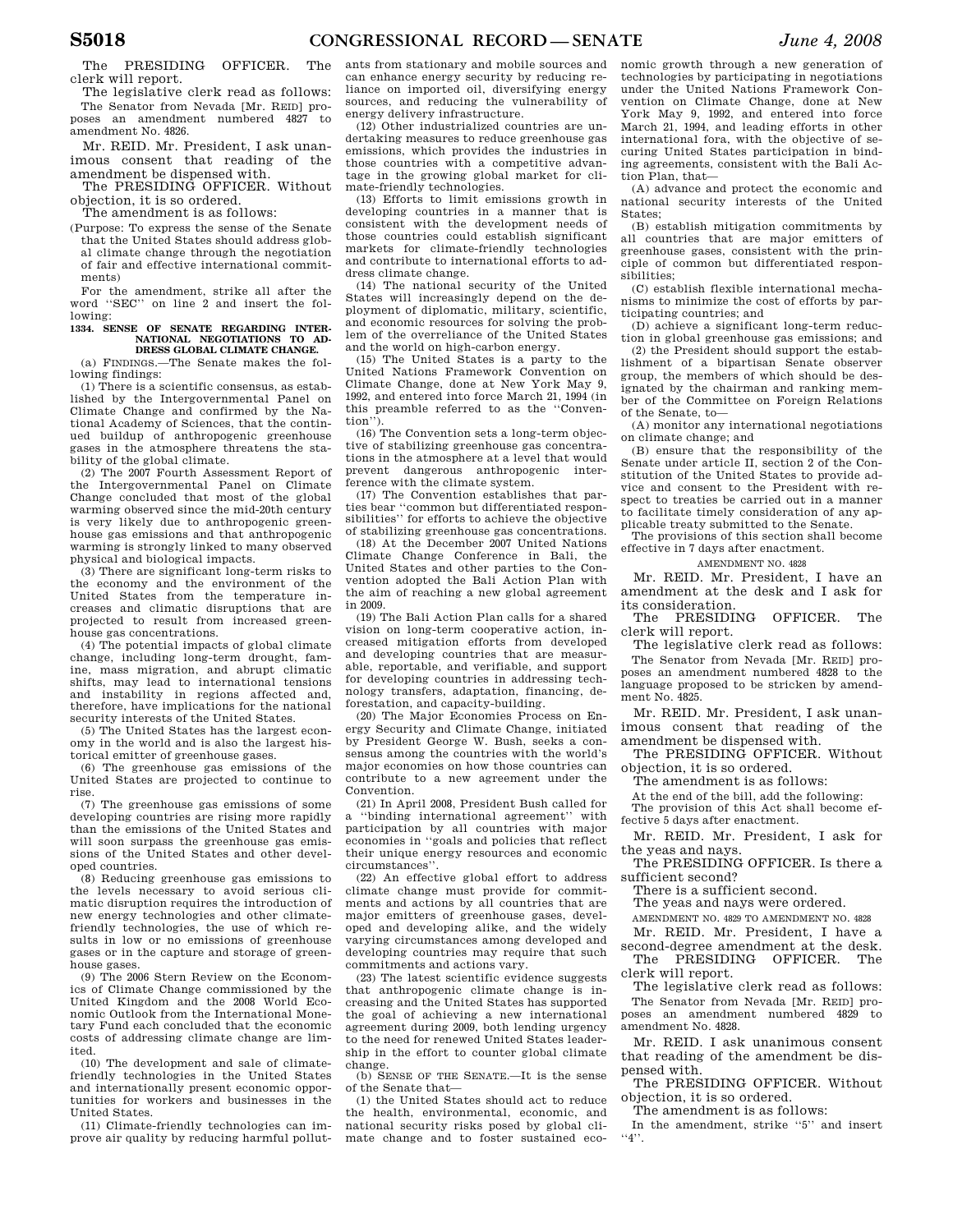The PRESIDING OFFICER. The clerk will report.

The legislative clerk read as follows: The Senator from Nevada [Mr. REID] proposes an amendment numbered 4827 amendment No. 4826.

Mr. REID. Mr. President, I ask unanimous consent that reading of the amendment be dispensed with.

The PRESIDING OFFICER. Without objection, it is so ordered.

The amendment is as follows:

(Purpose: To express the sense of the Senate that the United States should address global climate change through the negotiation of fair and effective international commitments)

For the amendment, strike all after the word ''SEC'' on line 2 and insert the following:

## **1334. SENSE OF SENATE REGARDING INTER-NATIONAL NEGOTIATIONS TO AD-DRESS GLOBAL CLIMATE CHANGE.**

(a) FINDINGS.—The Senate makes the following findings:

(1) There is a scientific consensus, as established by the Intergovernmental Panel on Climate Change and confirmed by the National Academy of Sciences, that the continued buildup of anthropogenic greenhouse gases in the atmosphere threatens the stability of the global climate.

(2) The 2007 Fourth Assessment Report of the Intergovernmental Panel on Climate Change concluded that most of the global warming observed since the mid-20th century is very likely due to anthropogenic greenhouse gas emissions and that anthropogenic warming is strongly linked to many observed physical and biological impacts.

(3) There are significant long-term risks to the economy and the environment of the United States from the temperature increases and climatic disruptions that are projected to result from increased greenhouse gas concentrations.

(4) The potential impacts of global climate change, including long-term drought, famine, mass migration, and abrupt climatic shifts, may lead to international tensions and instability in regions affected and, therefore, have implications for the national security interests of the United States.

(5) The United States has the largest economy in the world and is also the largest historical emitter of greenhouse gases.

(6) The greenhouse gas emissions of the United States are projected to continue to rise.

(7) The greenhouse gas emissions of some developing countries are rising more rapidly than the emissions of the United States and will soon surpass the greenhouse gas emissions of the United States and other developed countries.

(8) Reducing greenhouse gas emissions to the levels necessary to avoid serious climatic disruption requires the introduction of new energy technologies and other climatefriendly technologies, the use of which results in low or no emissions of greenhouse gases or in the capture and storage of greenhouse gases.

(9) The 2006 Stern Review on the Economics of Climate Change commissioned by the United Kingdom and the 2008 World Economic Outlook from the International Monetary Fund each concluded that the economic costs of addressing climate change are limited.

(10) The development and sale of climatefriendly technologies in the United States and internationally present economic opportunities for workers and businesses in the United States.

(11) Climate-friendly technologies can improve air quality by reducing harmful pollutants from stationary and mobile sources and can enhance energy security by reducing reliance on imported oil, diversifying energy sources, and reducing the vulnerability of energy delivery infrastructure.

(12) Other industrialized countries are undertaking measures to reduce greenhouse gas emissions, which provides the industries in those countries with a competitive advantage in the growing global market for climate-friendly technologies.

(13) Efforts to limit emissions growth in developing countries in a manner that is consistent with the development needs of those countries could establish significant markets for climate-friendly technologies and contribute to international efforts to address climate change.

(14) The national security of the United States will increasingly depend on the deployment of diplomatic, military, scientific, and economic resources for solving the problem of the overreliance of the United States and the world on high-carbon energy.

(15) The United States is a party to the United Nations Framework Convention on Climate Change, done at New York May 9, 1992, and entered into force March 21, 1994 (in this preamble referred to as the ''Convention'').

(16) The Convention sets a long-term objective of stabilizing greenhouse gas concentrations in the atmosphere at a level that would prevent dangerous anthropogenic interference with the climate system.

(17) The Convention establishes that parties bear ''common but differentiated responsibilities'' for efforts to achieve the objective of stabilizing greenhouse gas concentrations.

(18) At the December 2007 United Nations Climate Change Conference in Bali, the United States and other parties to the Con-vention adopted the Bali Action Plan with the aim of reaching a new global agreement in 2009.

(19) The Bali Action Plan calls for a shared vision on long-term cooperative action, increased mitigation efforts from developed and developing countries that are measurable, reportable, and verifiable, and support for developing countries in addressing technology transfers, adaptation, financing, deforestation, and capacity-building.

(20) The Major Economies Process on Energy Security and Climate Change, initiated by President George W. Bush, seeks a consensus among the countries with the world's major economies on how those countries can contribute to a new agreement under the Convention.

(21) In April 2008, President Bush called for a ''binding international agreement'' with participation by all countries with major economies in ''goals and policies that reflect their unique energy resources and economic circumstances''.

(22) An effective global effort to address climate change must provide for commitments and actions by all countries that are major emitters of greenhouse gases, developed and developing alike, and the widely varying circumstances among developed and developing countries may require that such commitments and actions vary.

(23) The latest scientific evidence suggests that anthropogenic climate change is increasing and the United States has supported the goal of achieving a new international agreement during 2009, both lending urgency to the need for renewed United States leadership in the effort to counter global climate change.

(b) SENSE OF THE SENATE.—It is the sense of the Senate that—

(1) the United States should act to reduce the health, environmental, economic, and national security risks posed by global climate change and to foster sustained eco-

nomic growth through a new generation of technologies by participating in negotiations under the United Nations Framework Convention on Climate Change, done at New York May 9, 1992, and entered into force March 21, 1994, and leading efforts in other international fora, with the objective of securing United States participation in binding agreements, consistent with the Bali Action Plan, that—

(A) advance and protect the economic and national security interests of the United States;

(B) establish mitigation commitments by all countries that are major emitters of greenhouse gases, consistent with the principle of common but differentiated responsibilities;

(C) establish flexible international mechanisms to minimize the cost of efforts by participating countries; and

(D) achieve a significant long-term reduction in global greenhouse gas emissions; and

(2) the President should support the establishment of a bipartisan Senate observer group, the members of which should be designated by the chairman and ranking member of the Committee on Foreign Relations of the Senate, to—

(A) monitor any international negotiations on climate change; and

(B) ensure that the responsibility of the Senate under article II, section 2 of the Constitution of the United States to provide advice and consent to the President with respect to treaties be carried out in a manner to facilitate timely consideration of any applicable treaty submitted to the Senate.

The provisions of this section shall become effective in 7 days after enactment.

AMENDMENT NO. 4828

Mr. REID. Mr. President, I have an amendment at the desk and I ask for its consideration.

The PRESIDING OFFICER. The clerk will report.

The legislative clerk read as follows: The Senator from Nevada [Mr. REID] proposes an amendment numbered 4828 to the language proposed to be stricken by amendment No. 4825.

Mr. REID. Mr. President, I ask unanimous consent that reading of the amendment be dispensed with.

The PRESIDING OFFICER. Without objection, it is so ordered.

The amendment is as follows:

At the end of the bill, add the following:

The provision of this Act shall become effective 5 days after enactment.

Mr. REID. Mr. President, I ask for the yeas and nays.

The PRESIDING OFFICER. Is there a sufficient second?

There is a sufficient second.

The yeas and nays were ordered.

AMENDMENT NO. 4829 TO AMENDMENT NO. 4828

Mr. REID. Mr. President, I have a second-degree amendment at the desk.

The PRESIDING OFFICER. The clerk will report.

The legislative clerk read as follows: The Senator from Nevada [Mr. REID] proposes an amendment numbered 4829 to amendment No. 4828.

Mr. REID. I ask unanimous consent that reading of the amendment be dispensed with.

The PRESIDING OFFICER. Without objection, it is so ordered.

The amendment is as follows:

In the amendment, strike ''5'' and insert  $\cdot \cdot$ 4''.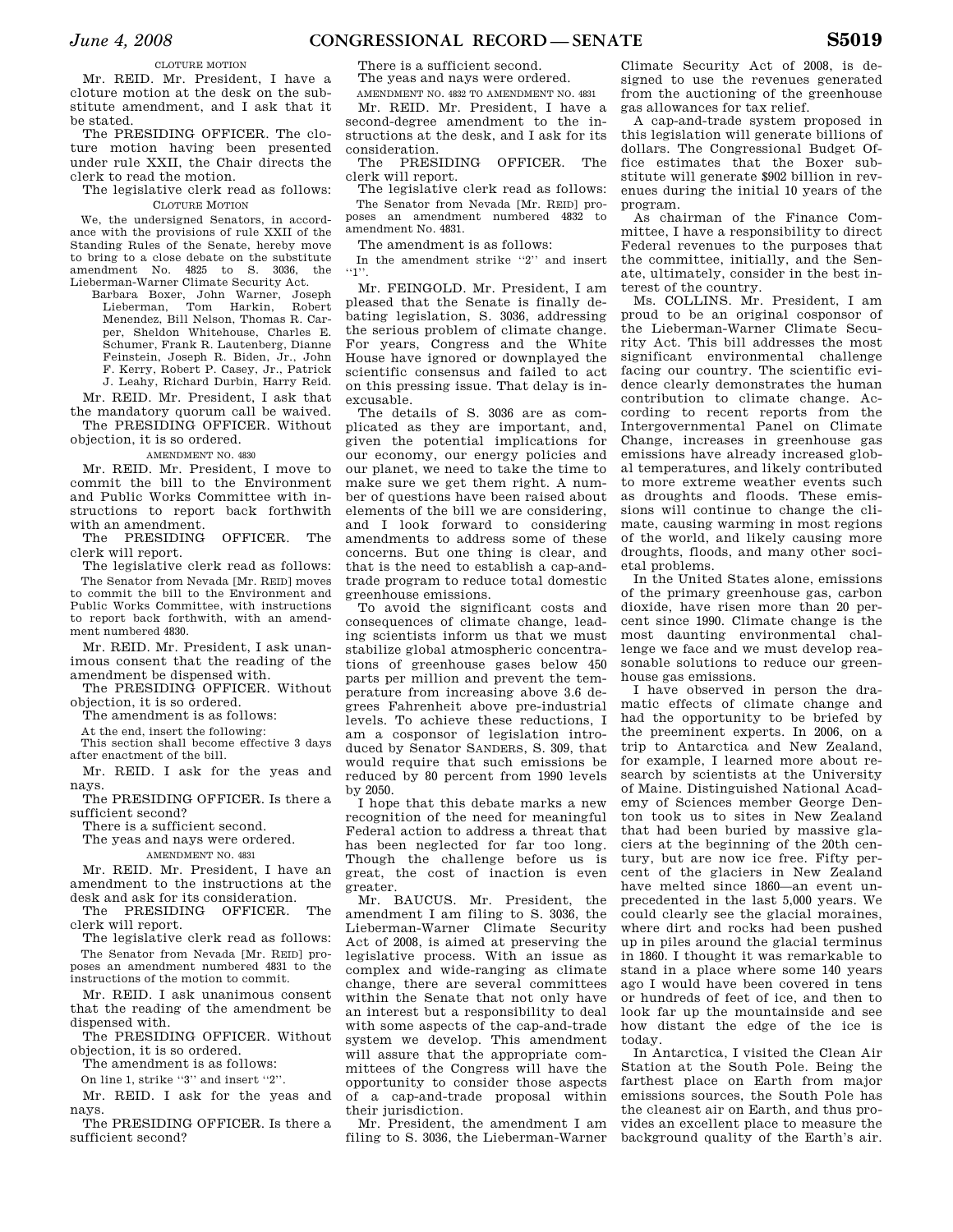### CLOTURE MOTION

Mr. REID. Mr. President, I have a cloture motion at the desk on the substitute amendment, and I ask that it be stated.

The PRESIDING OFFICER. The cloture motion having been presented under rule XXII, the Chair directs the clerk to read the motion.

The legislative clerk read as follows: CLOTURE MOTION

We, the undersigned Senators, in accordance with the provisions of rule XXII of the Standing Rules of the Senate, hereby move to bring to a close debate on the substitute amendment No. 4825 to S. 3036, the Lieberman-Warner Climate Security Act.

Barbara Boxer, John Warner, Joseph Lieberman, Tom Harkin, Robert Menendez, Bill Nelson, Thomas R. Carper, Sheldon Whitehouse, Charles E. Schumer, Frank R. Lautenberg, Dianne Feinstein, Joseph R. Biden, Jr., John F. Kerry, Robert P. Casey, Jr., Patrick J. Leahy, Richard Durbin, Harry Reid.

Mr. REID. Mr. President, I ask that the mandatory quorum call be waived. The PRESIDING OFFICER. Without

objection, it is so ordered.

AMENDMENT NO. 4830

Mr. REID. Mr. President, I move to commit the bill to the Environment and Public Works Committee with instructions to report back forthwith with an amendment.

The PRESIDING OFFICER. The clerk will report.

The legislative clerk read as follows: The Senator from Nevada [Mr. REID] moves to commit the bill to the Environment and Public Works Committee, with instructions to report back forthwith, with an amendment numbered 4830.

Mr. REID. Mr. President, I ask unanimous consent that the reading of the amendment be dispensed with.

The PRESIDING OFFICER. Without objection, it is so ordered.

The amendment is as follows:

At the end, insert the following:

This section shall become effective 3 days after enactment of the bill.

Mr. REID. I ask for the yeas and navs.

The PRESIDING OFFICER. Is there a sufficient second?

There is a sufficient second.

The yeas and nays were ordered. AMENDMENT NO. 4831

Mr. REID. Mr. President, I have an amendment to the instructions at the desk and ask for its consideration.

The PRESIDING OFFICER. The clerk will report.

The legislative clerk read as follows: The Senator from Nevada [Mr. REID] proposes an amendment numbered 4831 to the instructions of the motion to commit.

Mr. REID. I ask unanimous consent that the reading of the amendment be dispensed with.

The PRESIDING OFFICER. Without objection, it is so ordered.

The amendment is as follows:

On line 1, strike ''3'' and insert ''2''.

Mr. REID. I ask for the yeas and nays.

The PRESIDING OFFICER. Is there a sufficient second?

There is a sufficient second.

The yeas and nays were ordered. AMENDMENT NO. 4832 TO AMENDMENT NO. 4831

Mr. REID. Mr. President, I have a second-degree amendment to the instructions at the desk, and I ask for its consideration.

The PRESIDING OFFICER. The clerk will report.

The legislative clerk read as follows: The Senator from Nevada [Mr. REID] proposes an amendment numbered 4832 to amendment No. 4831.

The amendment is as follows:

In the amendment strike ''2'' and insert  $``1\$ 

Mr. FEINGOLD. Mr. President, I am pleased that the Senate is finally debating legislation, S. 3036, addressing the serious problem of climate change. For years, Congress and the White House have ignored or downplayed the scientific consensus and failed to act on this pressing issue. That delay is inexcusable.

The details of S. 3036 are as complicated as they are important, and, given the potential implications for our economy, our energy policies and our planet, we need to take the time to make sure we get them right. A number of questions have been raised about elements of the bill we are considering, and I look forward to considering amendments to address some of these concerns. But one thing is clear, and that is the need to establish a cap-andtrade program to reduce total domestic greenhouse emissions.

To avoid the significant costs and consequences of climate change, leading scientists inform us that we must stabilize global atmospheric concentrations of greenhouse gases below 450 parts per million and prevent the temperature from increasing above 3.6 degrees Fahrenheit above pre-industrial levels. To achieve these reductions, I am a cosponsor of legislation introduced by Senator SANDERS, S. 309, that would require that such emissions be reduced by 80 percent from 1990 levels by 2050.

I hope that this debate marks a new recognition of the need for meaningful Federal action to address a threat that has been neglected for far too long. Though the challenge before us is great, the cost of inaction is even greater.

Mr. BAUCUS. Mr. President, the amendment I am filing to S. 3036, the Lieberman-Warner Climate Security Act of 2008, is aimed at preserving the legislative process. With an issue as complex and wide-ranging as climate change, there are several committees within the Senate that not only have an interest but a responsibility to deal with some aspects of the cap-and-trade system we develop. This amendment will assure that the appropriate committees of the Congress will have the opportunity to consider those aspects of a cap-and-trade proposal within their jurisdiction.

Mr. President, the amendment I am filing to S. 3036, the Lieberman-Warner

Climate Security Act of 2008, is designed to use the revenues generated from the auctioning of the greenhouse gas allowances for tax relief.

A cap-and-trade system proposed in this legislation will generate billions of dollars. The Congressional Budget Office estimates that the Boxer substitute will generate \$902 billion in revenues during the initial 10 years of the program.

As chairman of the Finance Committee, I have a responsibility to direct Federal revenues to the purposes that the committee, initially, and the Senate, ultimately, consider in the best interest of the country.

Ms. COLLINS. Mr. President, I am proud to be an original cosponsor of the Lieberman-Warner Climate Security Act. This bill addresses the most significant environmental challenge facing our country. The scientific evidence clearly demonstrates the human contribution to climate change. According to recent reports from the Intergovernmental Panel on Climate Change, increases in greenhouse gas emissions have already increased global temperatures, and likely contributed to more extreme weather events such as droughts and floods. These emissions will continue to change the climate, causing warming in most regions of the world, and likely causing more droughts, floods, and many other societal problems.

In the United States alone, emissions of the primary greenhouse gas, carbon dioxide, have risen more than 20 percent since 1990. Climate change is the most daunting environmental challenge we face and we must develop reasonable solutions to reduce our greenhouse gas emissions.

I have observed in person the dramatic effects of climate change and had the opportunity to be briefed by the preeminent experts. In 2006, on a trip to Antarctica and New Zealand, for example, I learned more about research by scientists at the University of Maine. Distinguished National Academy of Sciences member George Denton took us to sites in New Zealand that had been buried by massive glaciers at the beginning of the 20th century, but are now ice free. Fifty percent of the glaciers in New Zealand have melted since 1860—an event unprecedented in the last 5,000 years. We could clearly see the glacial moraines, where dirt and rocks had been pushed up in piles around the glacial terminus in 1860. I thought it was remarkable to stand in a place where some 140 years ago I would have been covered in tens or hundreds of feet of ice, and then to look far up the mountainside and see how distant the edge of the ice is today.

In Antarctica, I visited the Clean Air Station at the South Pole. Being the farthest place on Earth from major emissions sources, the South Pole has the cleanest air on Earth, and thus provides an excellent place to measure the background quality of the Earth's air.